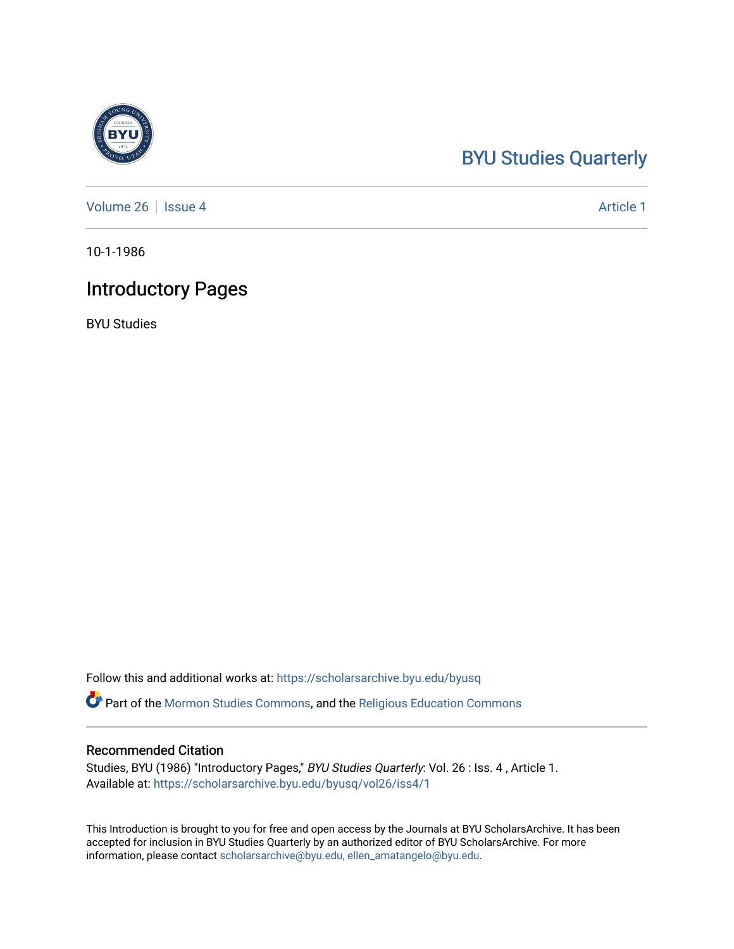### [BYU Studies Quarterly](https://scholarsarchive.byu.edu/byusq)

[Volume 26](https://scholarsarchive.byu.edu/byusq/vol26) | [Issue 4](https://scholarsarchive.byu.edu/byusq/vol26/iss4) Article 1

10-1-1986

### Introductory Pages

BYU Studies

Follow this and additional works at: [https://scholarsarchive.byu.edu/byusq](https://scholarsarchive.byu.edu/byusq?utm_source=scholarsarchive.byu.edu%2Fbyusq%2Fvol26%2Fiss4%2F1&utm_medium=PDF&utm_campaign=PDFCoverPages) 

Part of the [Mormon Studies Commons](http://network.bepress.com/hgg/discipline/1360?utm_source=scholarsarchive.byu.edu%2Fbyusq%2Fvol26%2Fiss4%2F1&utm_medium=PDF&utm_campaign=PDFCoverPages), and the [Religious Education Commons](http://network.bepress.com/hgg/discipline/1414?utm_source=scholarsarchive.byu.edu%2Fbyusq%2Fvol26%2Fiss4%2F1&utm_medium=PDF&utm_campaign=PDFCoverPages) 

### Recommended Citation

Studies, BYU (1986) "Introductory Pages," BYU Studies Quarterly: Vol. 26 : Iss. 4 , Article 1. Available at: [https://scholarsarchive.byu.edu/byusq/vol26/iss4/1](https://scholarsarchive.byu.edu/byusq/vol26/iss4/1?utm_source=scholarsarchive.byu.edu%2Fbyusq%2Fvol26%2Fiss4%2F1&utm_medium=PDF&utm_campaign=PDFCoverPages)

This Introduction is brought to you for free and open access by the Journals at BYU ScholarsArchive. It has been accepted for inclusion in BYU Studies Quarterly by an authorized editor of BYU ScholarsArchive. For more information, please contact [scholarsarchive@byu.edu, ellen\\_amatangelo@byu.edu.](mailto:scholarsarchive@byu.edu,%20ellen_amatangelo@byu.edu)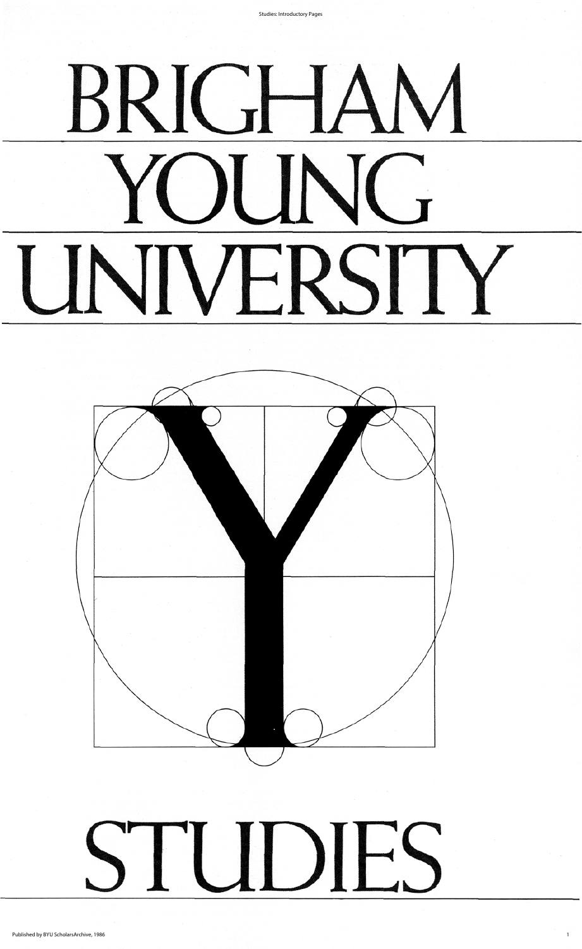**Studies: Introductory Pages** 

# BRIGHAM YUNG UNIVERSITY

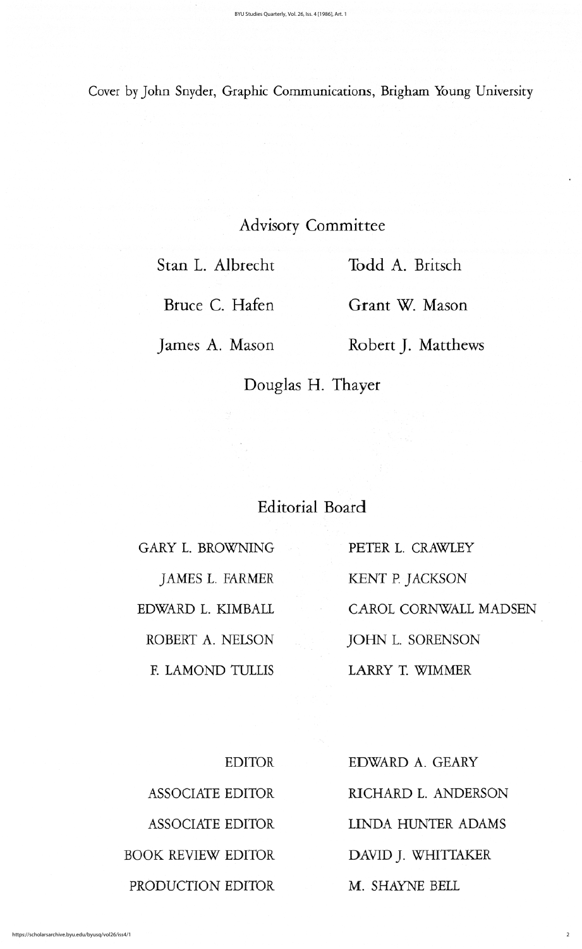## advisory committee

Stan L. Albrecht Todd A. Britsch

Bruce C. Hafen Grant W. Mason

James A. Mason Robert J. Matthews

Douglas H. Thayer

# Editorial Board

GARY L. BROWNING PETER L. CRAWLEY

JAMES L. FARMER KENT P. JACKSON EDWARD L. KIMBALL CAROL CORNWALL MADSEN ROBERT A. NELSON JOHN L. SORENSON F. LAMOND TULLIS LARRY T. WIMMER

BOOK REVIEW EDITOR DAVID J. WHITTAKER PRODUCTION EDITOR M. SHAYNE BELL

EDITOR EDWARD A. GEARY ASSOCIATE EDITOR RICHARD L. ANDERSON ASSOCIATE EDITOR LINDA HUNTER ADAMS

### Cover by John Snyder, Graphic Communications, Brigham Young University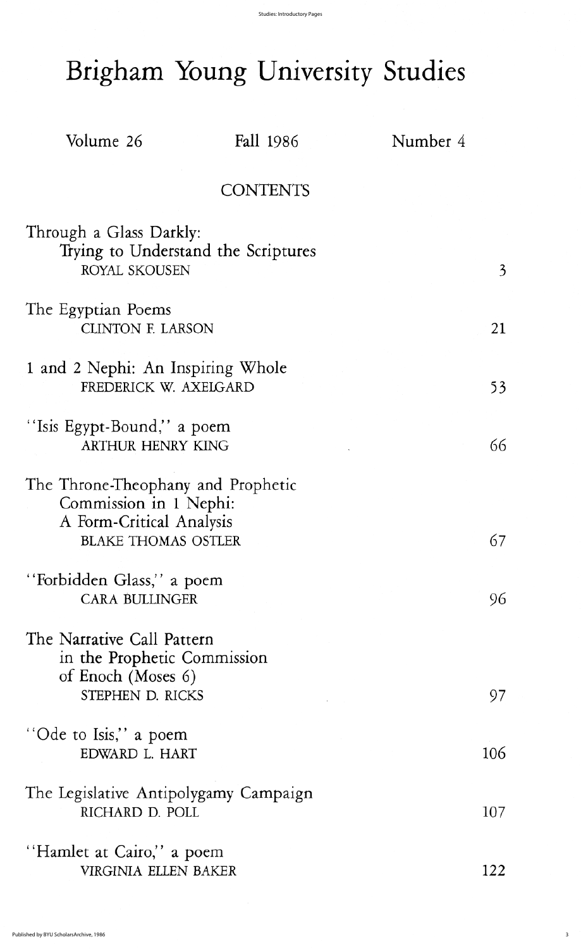3

# Brigham Young University Studies

Volume 26 Fall 1986 Number 4

### **CONTENTS**

Through a Glass Darkly: Trying to Understand the Scriptures ROYAL SKOUSEN 3

The Egyptian Poems CLINTON F. LARSON 21

1 and 2 Nephi: An Inspiring Whole FREDERICK W. AXELGARD 53

"Isis Egypt-Bound," a poem ARTHUR HENRY KING 66

The Throne-Theophany and Prophetic Commission in 1 Nephi: A Form-Critical Analysis BLAKE THOMAS OSTLER 67

"Forbidden Glass," a poem CARA BULLINGER 96

The Narrative Call Pattern in the prophetic commission of Enoch (Moses 6) STEPHEN D. RICKS 97

"Ode to Isis," a poem EDWARD L. HART 106

The Legislative Antipolygamy Campaign RICHARD D. POLL 107

"Hamlet at Cairo," a poem VIRGINIA ELLEN BAKER 122